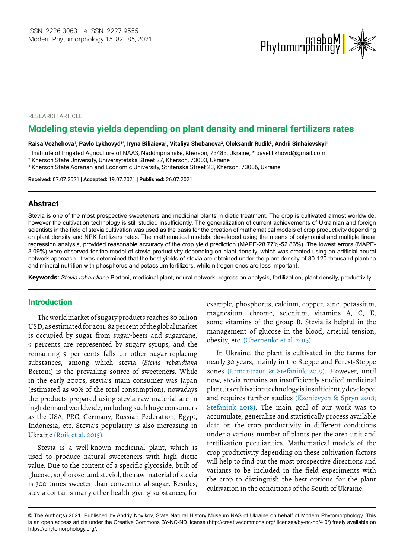

RESEARCH ARTICLE

# **Modeling stevia yields depending on plant density and mineral fertilizers rates**

Raisa Vozhehova<sup>1</sup>, Pavlo Lykhovyd<sup>1\*</sup>, Iryna Biliaieva<sup>1</sup>, Vitaliya Shebanova<sup>2</sup>, Oleksandr Rudik<sup>3</sup>, Andrii Sinhaievskyi<sup>1</sup>

1 Institute of Irrigated Agriculture of NAAS, Naddniprianske, Kherson, 73483, Ukraine; \* [pavel.likhovid@gmail.com](mailto:pavel.likhovid@gmail.com) 

2 Kherson State University, Universytetska Street 27, Kherson, 73003, Ukraine

 $^{\rm 3}$  Kherson State Agrarian and Economic University, Stritenska Street 23, Kherson, 73006, Ukraine

**Received:** 07.07.2021 | **Accepted:** 19.07.2021 | **Published:** 26.07.2021

### **Abstract**

Stevia is one of the most prospective sweeteners and medicinal plants in dietic treatment. The crop is cultivated almost worldwide, however the cultivation technology is still studied insufficiently. The generalization of current achievements of Ukrainian and foreign scientists in the field of stevia cultivation was used as the basis for the creation of mathematical models of crop productivity depending on plant density and NPK fertilizers rates. The mathematical models, developed using the means of polynomial and multiple linear regression analysis, provided reasonable accuracy of the crop yield prediction (MAPE-28.77%-52.86%). The lowest errors (MAPE-3.09%) were observed for the model of stevia productivity depending on plant density, which was created using an artificial neural network approach. It was determined that the best yields of stevia are obtained under the plant density of 80-120 thousand plant/ha and mineral nutrition with phosphorus and potassium fertilizers, while nitrogen ones are less important.

**Keywords:** *Stevia rebaudiana* Bertoni, medicinal plant, neural network, regression analysis, fertilization, plant density, productivity

## Introduction

The world market of sugary products reaches 80 billion USD, as estimated for 2011. 82 percent of the global market is occupied by sugar from sugar-beets and sugarcane, 9 percents are represented by sugary syrups, and the remaining 9 per cents falls on other sugar-replacing substances, among which stevia (*Stevia rebaudiana* Bertoni) is the prevailing source of sweeteners. While in the early 2000s, stevia's main consumer was Japan (estimated as 90% of the total consumption), nowadays the products prepared using stevia raw material are in high demand worldwide, including such huge consumers as the USA, PRC, Germany, Russian Federation, Egypt, Indonesia, etc. Stevia's popularity is also increasing in Ukraine (Roik et al. 2015).

Stevia is a well-known medicinal plant, which is used to produce natural sweeteners with high dietic value. Due to the content of a specific glycoside, built of glucose, sophorose, and steviol, the raw material of stevia is 300 times sweeter than conventional sugar. Besides, stevia contains many other health-giving substances, for

example, phosphorus, calcium, copper, zinc, potassium, magnesium, chrome, selenium, vitamins A, C, E, some vitamins of the group B. Stevia is helpful in the management of glucose in the blood, arterial tension, obesity, etc. (Chernenko et al. 2013).

In Ukraine, the plant is cultivated in the farms for nearly 30 years, mainly in the Steppe and Forest-Steppe zones (Ermantraut & Stefaniuk 2019). However, until now, stevia remains an insufficiently studied medicinal plant, its cultivation technology is insufficiently developed and requires further studies (Ksenievych & Spryn 2018; Stefaniuk 2018). The main goal of our work was to accumulate, generalize and statistically process available data on the crop productivity in different conditions under a various number of plants per the area unit and fertilization peculiarities. Mathematical models of the crop productivity depending on these cultivation factors will help to find out the most prospective directions and variants to be included in the field experiments with the crop to distinguish the best options for the plant cultivation in the conditions of the South of Ukraine.

<sup>©</sup> The Author(s) 2021. Published by Andriy Novikov, State Natural History Museum NAS of Ukraine on behalf of Modern Phytomorphology. This is an open access article under the Creative Commons BY-NC-ND license (http://creativecommons.org/ licenses/by-nc-nd/4.0/) freely available on https://phytomorphology.org/.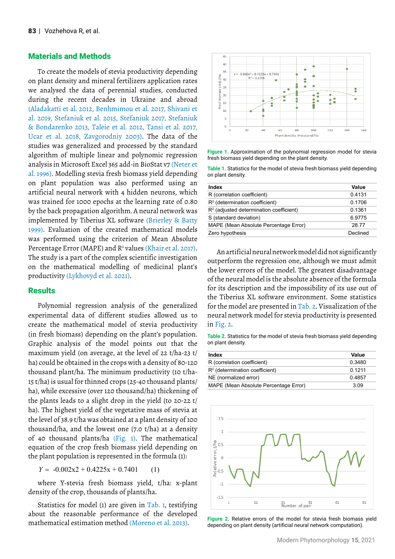## Materials and Methods

To create the models of stevia productivity depending on plant density and mineral fertilizers application rates we analysed the data of perennial studies, conducted during the recent decades in Ukraine and abroad (Aladakatti et al. 2012, Benhmimou et al. 2017, Shivani et al. 2019, Stefaniuk et al. 2015, Stefaniuk 2017, Stefaniuk & Bondarenko 2013, Taleie et al. 2012, Tansi et al. 2017, Ucar et al. 2018, Zavgorodniy 2003). The data of the studies was generalized and processed by the standard algorithm of multiple linear and polynomic regression analysis in Microsoft Excel 365 add-in BioStat v7 (Neter et al. 1996). Modelling stevia fresh biomass yield depending on plant population was also performed using an artificial neural network with 4 hidden neurons, which was trained for 1000 epochs at the learning rate of 0.80 by the back propagation algorithm. A neural network was implemented by Tiberius XL software (Brierley & Batty 1999). Evaluation of the created mathematical models was performed using the criterion of Mean Absolute Percentage Error (MAPE) and R<sup>2</sup> values (Khair et al. 2017). The study is a part of the complex scientific investigation on the mathematical modelling of medicinal plant's productivity (Lykhovyd et al. 2021).

#### **Results**

Polynomial regression analysis of the generalized experimental data of different studies allowed us to create the mathematical model of stevia productivity (in fresh biomass) depending on the plant's population. Graphic analysis of the model points out that the maximum yield (on average, at the level of 22 t/ha-23 t/ ha) could be obtained in the crops with a density of 80-120 thousand plant/ha. The minimum productivity (10 t/ha-15 t/ha) is usual for thinned crops (25-40 thousand plants/ ha), while excessive (over 120 thousand/ha) thickening of the plants leads to a slight drop in the yield (to 20-22 t/ ha). The highest yield of the vegetative mass of stevia at the level of 38.9 t/ha was obtained at a plant density of 100 thousand/ha, and the lowest one (7.0 t/ha) at a density of 40 thousand plants/ha (Fig. 1). The mathematical equation of the crop fresh biomass yield depending on the plant population is represented in the formula (1):

 $Y = -0.002x^2 + 0.4225x + 0.7401$  (1)

where Y-stevia fresh biomass yield, t/ha: x-plant density of the crop, thousands of plants/ha.

Statistics for model (1) are given in Tab. 1, testifying about the reasonable performance of the developed mathematical estimation method (Moreno et al. 2013).



**Figure 1.** Approximation of the polynomial regression model for stevia fresh biomass yield depending on the plant density.

**Table 1.** Statistics for the model of stevia fresh biomass yield depending on plant density.

| Index                                     | Value    |
|-------------------------------------------|----------|
| R (correlation coefficient)               | 0.4131   |
| $R2$ (determination coefficient)          | 0.1706   |
| $R2$ (adjusted determination coefficient) | 0.1361   |
| S (standard deviation)                    | 6.9775   |
| MAPE (Mean Absolute Percentage Error)     | 2877     |
| Zero hypothesis                           | Declined |
|                                           |          |

An artificial neural network model did not significantly outperform the regression one, although we must admit the lower errors of the model. The greatest disadvantage of the neural model is the absolute absence of the formula for its description and the impossibility of its use out of the Tiberius XL software environment. Some statistics for the model are presented in Tab. 2. Visualization of the neural network model for stevia productivity is presented in Fig. 2.

**Table 2.** Statistics for the model of stevia fresh biomass yield depending on plant density.

| Index                                 | Value     |
|---------------------------------------|-----------|
| R (correlation coefficient)           | 0.3480    |
| $R2$ (determination coefficient)      | 0 1 2 1 1 |
| NE (normalized error)                 | 0.4857    |
| MAPE (Mean Absolute Percentage Error) | 3.09      |



**Figure 2.** Relative errors of the model for stevia fresh biomass yield depending on plant density (artificial neural network computation).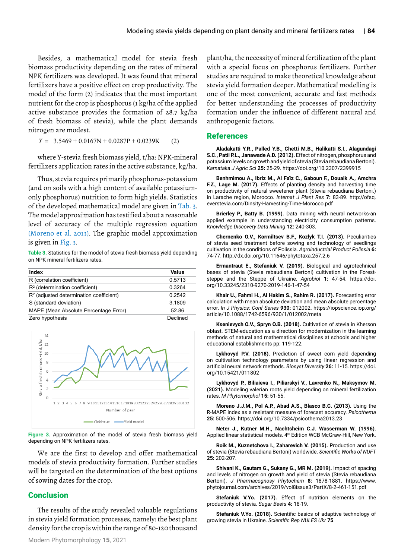Besides, a mathematical model for stevia fresh biomass productivity depending on the rates of mineral NPK fertilizers was developed. It was found that mineral fertilizers have a positive effect on crop productivity. The model of the form (2) indicates that the most important nutrient for the crop is phosphorus (1 kg/ha of the applied active substance provides the formation of 28.7 kg/ha of fresh biomass of stevia), while the plant demands nitrogen are modest.

 $Y = 3.5469 + 0.0167N + 0.0287P + 0.0239K$  (2)

where Y-stevia fresh biomass yield, t/ha: NPK-mineral fertilizers application rates in the active substance, kg/ha.

Thus, stevia requires primarily phosphorus-potassium (and on soils with a high content of available potassiumonly phosphorus) nutrition to form high yields. Statistics of the developed mathematical model are given in Tab. 3. The model approximation has testified about a reasonable level of accuracy of the multiple regression equation (Moreno et al. 2013). The graphic model approximation is given in Fig. 3.

**Table 3.** Statistics for the model of stevia fresh biomass yield depending on NPK mineral fertilizers rates.

| Index                                     | Value    |
|-------------------------------------------|----------|
| R (correlation coefficient)               | 0.5713   |
| $R2$ (determination coefficient)          | 0.3264   |
| $R2$ (adjusted determination coefficient) | 0.2542   |
| S (standard deviation)                    | 3.1809   |
| MAPE (Mean Absolute Percentage Error)     | 52.86    |
| Zero hypothesis                           | Declined |



**Figure 3.** Approximation of the model of stevia fresh biomass yield depending on NPK fertilizers rates.

We are the first to develop and offer mathematical models of stevia productivity formation. Further studies will be targeted on the determination of the best options of sowing dates for the crop.

## **Conclusion**

The results of the study revealed valuable regulations in stevia yield formation processes, namely: the best plant density for the crop is within the range of 80-120 thousand plant/ha, the necessity of mineral fertilization of the plant with a special focus on phosphorus fertilizers. Further studies are required to make theoretical knowledge about stevia yield formation deeper. Mathematical modelling is one of the most convenient, accurate and fast methods for better understanding the processes of productivity formation under the influence of different natural and anthropogenic factors.

### References

**Aladakatti Y.R., Palled Y.B., Chetti M.B., Halikatti S.I., Alagundagi S.C., Patil P.L., Janawade A.D. (2012).** Effect of nitrogen, phosphorus and potassium levels on growth and yield of stevia (Stevia rebaudiana Bertoni). *Karnataka J Agric Sci* **25:** 25-29. https://doi.org/10.2307/2399915

**Benhmimou A., Ibriz M., Al Faïz C., Gaboun F., Douaik A., Amchra F.Z., Lage M. (2017).** Effects of planting density and harvesting time on productivity of natural sweetener plant (Stevia rebaudiana Bertoni.) in Larache region, Morocco. *Internat J Plant Res* **7:** 83-89. [http://ofsq.](http://ofsq.everstevia.com/Dinsity-Harvesting-Time-Morocco.pdf) [everstevia.com/Dinsity-Harvesting-Time-Morocco.pdf](http://ofsq.everstevia.com/Dinsity-Harvesting-Time-Morocco.pdf) 

**Brierley P., Batty B. (1999).** Data mining with neural networks-an applied example in understanding electricity consumption patterns. *Knowledge Discovery Data Mining* **12:** 240-303.

**Chernenko O.V., Kormiltsev B.F., Kozlyk T.I. (2013).** Peculiarities of stevia seed treatment before sowing and technology of seedlings cultivation in the conditions of Polissia. *Agroinductrial Product Polissia* **6:** 74-77.<http://dx.doi.org/10.11646/phytotaxa.257.2.6>

**Ermantraut E., Stefaniuk V. (2019).** Biological and agrotechnical bases of stevia (Stevia rebaudiana Bertoni) cultivation in the Foreststeppe and the Steppe of Ukraine. *Agrobiol* **1:** 47-54. [https://doi.](https://doi.org/10.33245/2310-9270-2019-146-1-47-54) [org/10.33245/2310-9270-2019-146-1-47-54](https://doi.org/10.33245/2310-9270-2019-146-1-47-54)

**Khair U., Fahmi H., Al Hakim S., Rahim R. (2017).** Forecasting error calculation with mean absolute deviation and mean absolute percentage error. *In J Physics: Conf Series* **930:** 012002. [https://iopscience.iop.org/](https://iopscience.iop.org/article/10.1088/1742-6596/930/1/012002/meta) [article/10.1088/1742-6596/930/1/012002/meta](https://iopscience.iop.org/article/10.1088/1742-6596/930/1/012002/meta)

**Ksenievych O.V., Spryn O.B. (2018).** Cultivation of stevia in Kherson oblast. STEM-education as a direction for modernization in the learning methods of natural and mathematical disciplines at schools and higher educational establishments pp: 119-122.

**Lykhovyd P.V. (2018).** Prediction of sweet corn yield depending on cultivation technology parameters by using linear regression and artificial neural network methods. *Biosyst Diversity* **26:** 11-15. [https://doi.](https://doi.org/10.15421/011802) [org/10.15421/011802](https://doi.org/10.15421/011802)

**Lykhovyd P., Biliaieva I., Piliarskyi V., Lavrenko N., Maksymov M. (2021).** Modeling valerian roots yield depending on mineral fertilization rates. *M Phytomorphol* **15:** 51-55.

**Moreno J.J.M., Pol A.P., Abad A.S., Blasco B.C. (2013).** Using the R-MAPE index as a resistant measure of forecast accuracy. *Psicothema* **25:** 500-506.<https://doi.org/10.7334/psicothema2013.23>

**Neter J., Kutner M.H., Nachtsheim C.J. Wasserman W. (1996).** Applied linear statistical models. 4th Edition WCB McGraw-Hill, New York.

**Roik M., Kuznetchova I., Zaharevich V. (2015).** Production and use of stevia (Stevia rebaudiana Bertoni) worldwide. *Scientific Works of NUFT* **25:** 202-207.

**Shivani K., Gautam G., Sukany G., MR M. (2019).** Impact of spacing and levels of nitrogen on growth and yield of stevia (Stevia rebaudiana Bertoni). *J Pharmacognosy Phytochem* **8:** 1878-1881. [https://www.](https://www.phytojournal.com/archives/2019/vol8issue3/PartX/8-2-461-151.pdf) [phytojournal.com/archives/2019/vol8issue3/PartX/8-2-461-151.pdf](https://www.phytojournal.com/archives/2019/vol8issue3/PartX/8-2-461-151.pdf)

**Stefaniuk V.Yo. (2017).** Effect of nutrition elements on the productivity of stevia. *Sugar Beets* **4:** 18-19.

**Stefaniuk V.Yo. (2018).** Scientific basics of adaptive technology of growing stevia in Ukraine. *Scientific Rep NULES Ukr* **75**.